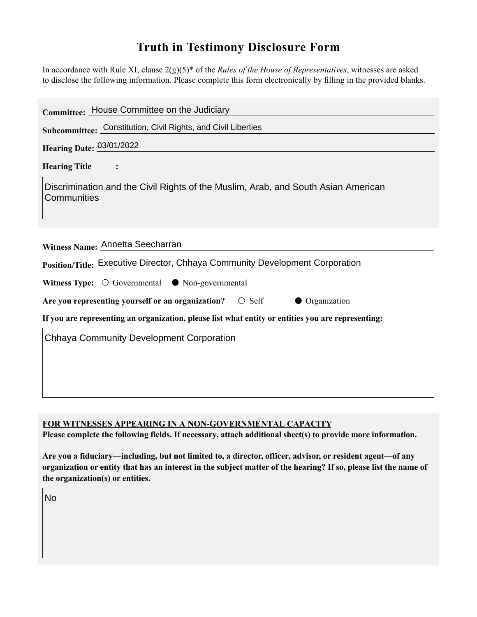## **Truth in Testimony Disclosure Form**

In accordance with Rule XI, clause 2(g)(5)\* of the *Rules of the House of Representatives*, witnesses are asked to disclose the following information. Please complete this form electronically by filling in the provided blanks.

| Committee: House Committee on the Judiciary                                                        |
|----------------------------------------------------------------------------------------------------|
| Subcommittee: Constitution, Civil Rights, and Civil Liberties                                      |
| Hearing Date: 03/01/2022                                                                           |
| <b>Hearing Title</b><br>$\ddot{\cdot}$                                                             |
| Discrimination and the Civil Rights of the Muslim, Arab, and South Asian American<br>Communities   |
| Witness Name: Annetta Seecharran                                                                   |
| Position/Title: Executive Director, Chhaya Community Development Corporation                       |
| Witness Type: $\bigcirc$ Governmental $\bullet$ Non-governmental                                   |
| • Organization<br>Are you representing yourself or an organization?<br>$\circ$ Self                |
| If you are representing an organization, please list what entity or entities you are representing: |
| <b>Chhaya Community Development Corporation</b>                                                    |

**FOR WITNESSES APPEARING IN A NON-GOVERNMENTAL CAPACITY**

**Please complete the following fields. If necessary, attach additional sheet(s) to provide more information.**

**Are you a fiduciary—including, but not limited to, a director, officer, advisor, or resident agent—of any organization or entity that has an interest in the subject matter of the hearing? If so, please list the name of the organization(s) or entities.**

No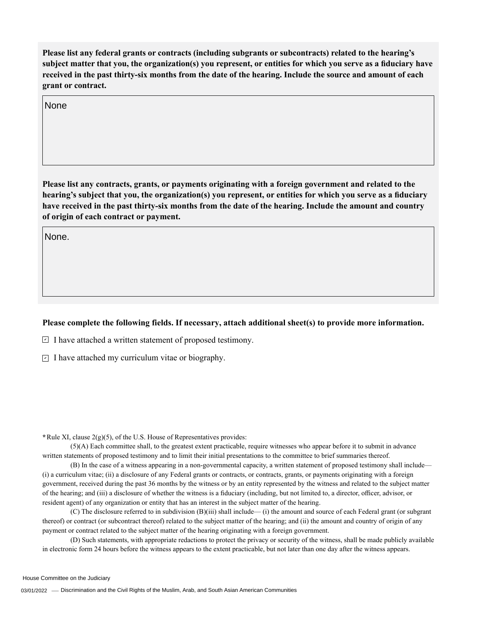**Please list any federal grants or contracts (including subgrants or subcontracts) related to the hearing's subject matter that you, the organization(s) you represent, or entities for which you serve as a fiduciary have received in the past thirty-six months from the date of the hearing. Include the source and amount of each grant or contract.** 

None

**Please list any contracts, grants, or payments originating with a foreign government and related to the hearing's subject that you, the organization(s) you represent, or entities for which you serve as a fiduciary have received in the past thirty-six months from the date of the hearing. Include the amount and country of origin of each contract or payment.** 

None.

## **Please complete the following fields. If necessary, attach additional sheet(s) to provide more information.**

 $\exists$  I have attached a written statement of proposed testimony.

 $\subseteq$  I have attached my curriculum vitae or biography.

**\***Rule XI, clause 2(g)(5), of the U.S. House of Representatives provides:

(5)(A) Each committee shall, to the greatest extent practicable, require witnesses who appear before it to submit in advance written statements of proposed testimony and to limit their initial presentations to the committee to brief summaries thereof.

(B) In the case of a witness appearing in a non-governmental capacity, a written statement of proposed testimony shall include— (i) a curriculum vitae; (ii) a disclosure of any Federal grants or contracts, or contracts, grants, or payments originating with a foreign government, received during the past 36 months by the witness or by an entity represented by the witness and related to the subject matter of the hearing; and (iii) a disclosure of whether the witness is a fiduciary (including, but not limited to, a director, officer, advisor, or resident agent) of any organization or entity that has an interest in the subject matter of the hearing.

(C) The disclosure referred to in subdivision (B)(iii) shall include— (i) the amount and source of each Federal grant (or subgrant thereof) or contract (or subcontract thereof) related to the subject matter of the hearing; and (ii) the amount and country of origin of any payment or contract related to the subject matter of the hearing originating with a foreign government.

(D) Such statements, with appropriate redactions to protect the privacy or security of the witness, shall be made publicly available in electronic form 24 hours before the witness appears to the extent practicable, but not later than one day after the witness appears.